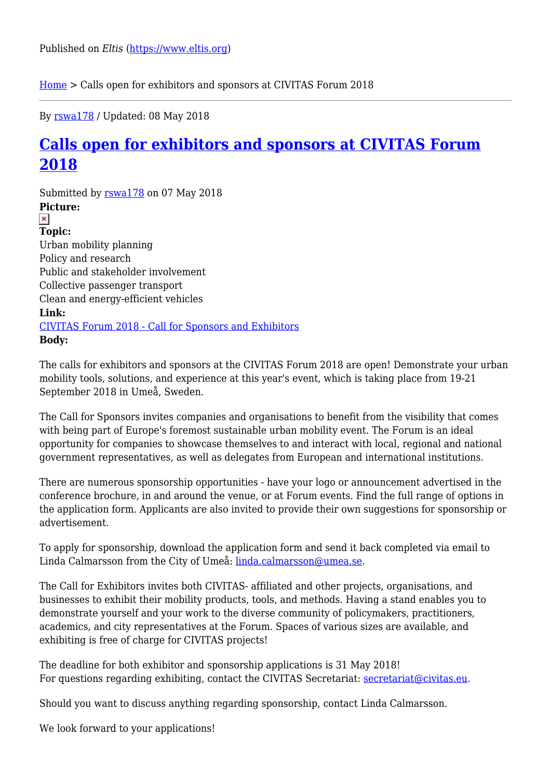[Home](https://www.eltis.org/) > Calls open for exhibitors and sponsors at CIVITAS Forum 2018

By [rswa178](https://www.eltis.org/users/rswa178) / Updated: 08 May 2018

## **[Calls open for exhibitors and sponsors at CIVITAS Forum](https://www.eltis.org/discover/news/calls-open-exhibitors-and-sponsors-civitas-forum-2018) [2018](https://www.eltis.org/discover/news/calls-open-exhibitors-and-sponsors-civitas-forum-2018)**

Submitted by [rswa178](https://www.eltis.org/users/rswa178) on 07 May 2018 **Picture:**   $\pmb{\times}$ **Topic:**  Urban mobility planning Policy and research Public and stakeholder involvement Collective passenger transport Clean and energy-efficient vehicles **Link:**  [CIVITAS Forum 2018 - Call for Sponsors and Exhibitors](http://civitas.eu/news/calls-open-exhibitors-and-sponsors-civitas-forum-2018) **Body:** 

The calls for exhibitors and sponsors at the CIVITAS Forum 2018 are open! Demonstrate your urban mobility tools, solutions, and experience at this year's event, which is taking place from 19-21 September 2018 in Umeå, Sweden.

The Call for Sponsors invites companies and organisations to benefit from the visibility that comes with being part of Europe's foremost sustainable urban mobility event. The Forum is an ideal opportunity for companies to showcase themselves to and interact with local, regional and national government representatives, as well as delegates from European and international institutions.

There are numerous sponsorship opportunities - have your logo or announcement advertised in the conference brochure, in and around the venue, or at Forum events. Find the full range of options in the application form. Applicants are also invited to provide their own suggestions for sponsorship or advertisement.

To apply for sponsorship, download the application form and send it back completed via email to Linda Calmarsson from the City of Umeå: [linda.calmarsson@umea.se](mailto:linda.calmarsson@umea.se).

The Call for Exhibitors invites both CIVITAS- affiliated and other projects, organisations, and businesses to exhibit their mobility products, tools, and methods. Having a stand enables you to demonstrate yourself and your work to the diverse community of policymakers, practitioners, academics, and city representatives at the Forum. Spaces of various sizes are available, and exhibiting is free of charge for CIVITAS projects!

The deadline for both exhibitor and sponsorship applications is 31 May 2018! For questions regarding exhibiting, contact the CIVITAS Secretariat: [secretariat@civitas.eu](mailto:secretariat@civitas.eu).

Should you want to discuss anything regarding sponsorship, contact Linda Calmarsson.

We look forward to your applications!